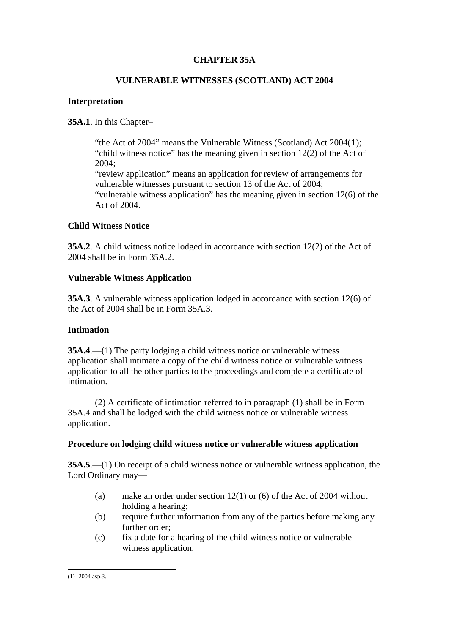# **CHAPTER 35A**

### **VULNERABLE WITNESSES (SCOTLAND) ACT 2004**

## **Interpretation**

# **35A.1**. In this Chapter–

"the Act of 2004" means the Vulnerable Witness (Scotland) Act 2004(**[1](#page-0-0)**); "child witness notice" has the meaning given in section 12(2) of the Act of 2004; "review application" means an application for review of arrangements for vulnerable witnesses pursuant to section 13 of the Act of 2004; "vulnerable witness application" has the meaning given in section 12(6) of the Act of 2004.

### **Child Witness Notice**

**35A.2**. A child witness notice lodged in accordance with section 12(2) of the Act of 2004 shall be in Form 35A.2.

## **Vulnerable Witness Application**

**35A.3**. A vulnerable witness application lodged in accordance with section 12(6) of the Act of 2004 shall be in Form 35A.3.

### **Intimation**

**35A.4**.—(1) The party lodging a child witness notice or vulnerable witness application shall intimate a copy of the child witness notice or vulnerable witness application to all the other parties to the proceedings and complete a certificate of intimation.

(2) A certificate of intimation referred to in paragraph (1) shall be in Form 35A.4 and shall be lodged with the child witness notice or vulnerable witness application.

### **Procedure on lodging child witness notice or vulnerable witness application**

**35A.5**.—(1) On receipt of a child witness notice or vulnerable witness application, the Lord Ordinary may—

- (a) make an order under section 12(1) or (6) of the Act of 2004 without holding a hearing;
- (b) require further information from any of the parties before making any further order;
- (c) fix a date for a hearing of the child witness notice or vulnerable witness application.

<span id="page-0-0"></span><sup>-</sup>(**1**) 2004 asp.3.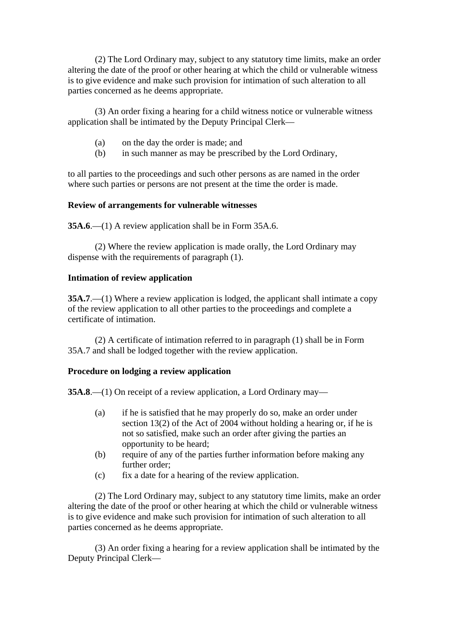(2) The Lord Ordinary may, subject to any statutory time limits, make an order altering the date of the proof or other hearing at which the child or vulnerable witness is to give evidence and make such provision for intimation of such alteration to all parties concerned as he deems appropriate.

(3) An order fixing a hearing for a child witness notice or vulnerable witness application shall be intimated by the Deputy Principal Clerk—

- (a) on the day the order is made; and
- (b) in such manner as may be prescribed by the Lord Ordinary,

to all parties to the proceedings and such other persons as are named in the order where such parties or persons are not present at the time the order is made.

## **Review of arrangements for vulnerable witnesses**

**35A.6.**—(1) A review application shall be in Form 35A.6.

(2) Where the review application is made orally, the Lord Ordinary may dispense with the requirements of paragraph (1).

### **Intimation of review application**

**35A.7.**—(1) Where a review application is lodged, the applicant shall intimate a copy of the review application to all other parties to the proceedings and complete a certificate of intimation.

(2) A certificate of intimation referred to in paragraph (1) shall be in Form 35A.7 and shall be lodged together with the review application.

### **Procedure on lodging a review application**

**35A.8.**—(1) On receipt of a review application, a Lord Ordinary may—

- (a) if he is satisfied that he may properly do so, make an order under section 13(2) of the Act of 2004 without holding a hearing or, if he is not so satisfied, make such an order after giving the parties an opportunity to be heard;
- (b) require of any of the parties further information before making any further order;
- (c) fix a date for a hearing of the review application.

(2) The Lord Ordinary may, subject to any statutory time limits, make an order altering the date of the proof or other hearing at which the child or vulnerable witness is to give evidence and make such provision for intimation of such alteration to all parties concerned as he deems appropriate.

(3) An order fixing a hearing for a review application shall be intimated by the Deputy Principal Clerk—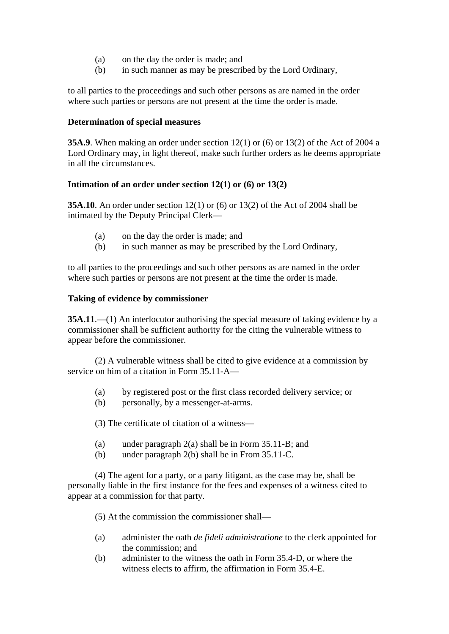- (a) on the day the order is made; and
- (b) in such manner as may be prescribed by the Lord Ordinary,

to all parties to the proceedings and such other persons as are named in the order where such parties or persons are not present at the time the order is made.

### **Determination of special measures**

**35A.9**. When making an order under section 12(1) or (6) or 13(2) of the Act of 2004 a Lord Ordinary may, in light thereof, make such further orders as he deems appropriate in all the circumstances.

## **Intimation of an order under section 12(1) or (6) or 13(2)**

**35A.10**. An order under section 12(1) or (6) or 13(2) of the Act of 2004 shall be intimated by the Deputy Principal Clerk—

- (a) on the day the order is made; and
- (b) in such manner as may be prescribed by the Lord Ordinary,

to all parties to the proceedings and such other persons as are named in the order where such parties or persons are not present at the time the order is made.

### **Taking of evidence by commissioner**

**35A.11**.—(1) An interlocutor authorising the special measure of taking evidence by a commissioner shall be sufficient authority for the citing the vulnerable witness to appear before the commissioner.

(2) A vulnerable witness shall be cited to give evidence at a commission by service on him of a citation in Form 35.11-A—

- (a) by registered post or the first class recorded delivery service; or
- (b) personally, by a messenger-at-arms.

(3) The certificate of citation of a witness—

- (a) under paragraph 2(a) shall be in Form 35.11-B; and
- (b) under paragraph 2(b) shall be in From 35.11-C.

(4) The agent for a party, or a party litigant, as the case may be, shall be personally liable in the first instance for the fees and expenses of a witness cited to appear at a commission for that party.

(5) At the commission the commissioner shall—

- (a) administer the oath *de fideli administratione* to the clerk appointed for the commission; and
- (b) administer to the witness the oath in Form 35.4-D, or where the witness elects to affirm, the affirmation in Form 35.4-E.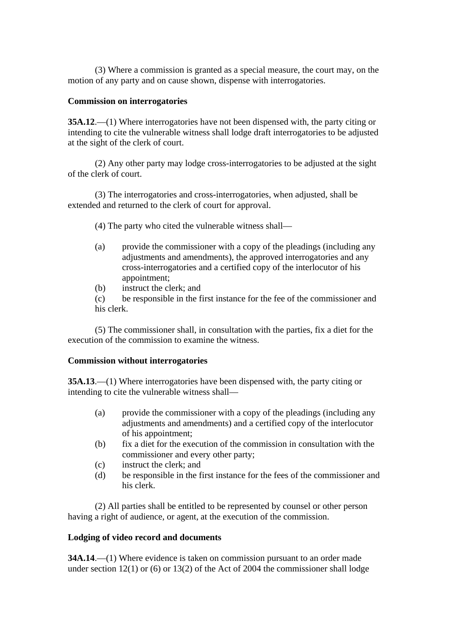(3) Where a commission is granted as a special measure, the court may, on the motion of any party and on cause shown, dispense with interrogatories.

#### **Commission on interrogatories**

**35A.12**.—(1) Where interrogatories have not been dispensed with, the party citing or intending to cite the vulnerable witness shall lodge draft interrogatories to be adjusted at the sight of the clerk of court.

(2) Any other party may lodge cross-interrogatories to be adjusted at the sight of the clerk of court.

(3) The interrogatories and cross-interrogatories, when adjusted, shall be extended and returned to the clerk of court for approval.

- (4) The party who cited the vulnerable witness shall—
- (a) provide the commissioner with a copy of the pleadings (including any adjustments and amendments), the approved interrogatories and any cross-interrogatories and a certified copy of the interlocutor of his appointment;
- (b) instruct the clerk; and

(c) be responsible in the first instance for the fee of the commissioner and his clerk.

(5) The commissioner shall, in consultation with the parties, fix a diet for the execution of the commission to examine the witness.

### **Commission without interrogatories**

**35A.13**.—(1) Where interrogatories have been dispensed with, the party citing or intending to cite the vulnerable witness shall—

- (a) provide the commissioner with a copy of the pleadings (including any adjustments and amendments) and a certified copy of the interlocutor of his appointment;
- (b) fix a diet for the execution of the commission in consultation with the commissioner and every other party;
- (c) instruct the clerk; and
- (d) be responsible in the first instance for the fees of the commissioner and his clerk.

(2) All parties shall be entitled to be represented by counsel or other person having a right of audience, or agent, at the execution of the commission.

### **Lodging of video record and documents**

**34A.14.**—(1) Where evidence is taken on commission pursuant to an order made under section 12(1) or (6) or 13(2) of the Act of 2004 the commissioner shall lodge